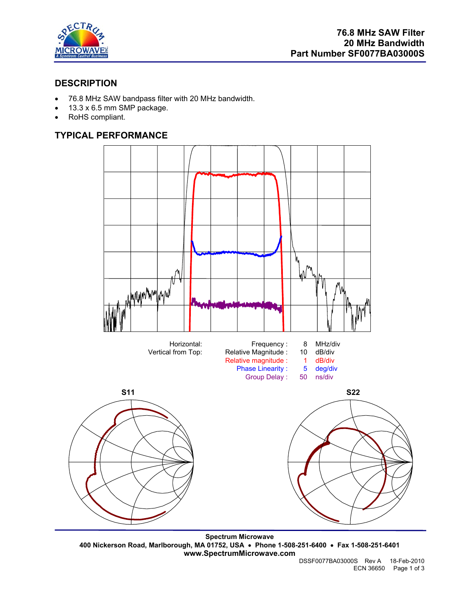

# **DESCRIPTION**

- 76.8 MHz SAW bandpass filter with 20 MHz bandwidth.
- 13.3 x 6.5 mm SMP package.
- RoHS compliant.

# **TYPICAL PERFORMANCE**



**Spectrum Microwave 400 Nickerson Road, Marlborough, MA 01752, USA** • **Phone 1-508-251-6400** • **Fax 1-508-251-6401 www.SpectrumMicrowave.com**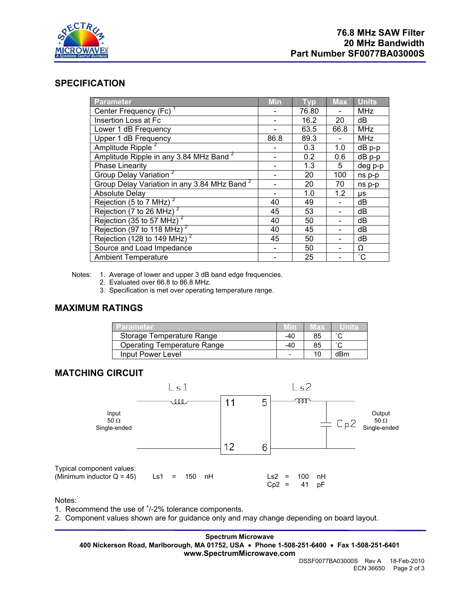

## **SPECIFICATION**

| <b>Parameter</b>                                        | <b>Min</b> | <b>Typ</b> | <b>Max</b> | <b>Units</b>    |
|---------------------------------------------------------|------------|------------|------------|-----------------|
| Center Frequency (Fc)                                   |            | 76.80      |            | MHz             |
| Insertion Loss at Fc                                    |            | 16.2       | 20         | dB              |
| Lower 1 dB Frequency                                    |            | 63.5       | 66.8       | <b>MHz</b>      |
| Upper 1 dB Frequency                                    | 86.8       | 89.3       |            | <b>MHz</b>      |
| Amplitude Ripple <sup>2</sup>                           |            | 0.3        | 1.0        | $dB$ p-p        |
| Amplitude Ripple in any 3.84 MHz Band <sup>2</sup>      |            | 0.2        | 0.6        | dB p-p          |
| Phase Linearity                                         |            | 1.3        | 5          | deg p-p         |
| Group Delay Variation <sup>2</sup>                      |            | 20         | 100        | ns p-p          |
| Group Delay Variation in any 3.84 MHz Band <sup>2</sup> |            | 20         | 70         | ns p-p          |
| <b>Absolute Delay</b>                                   |            | 1.0        | 1.2        | μs              |
| Rejection (5 to 7 MHz) <sup>2</sup>                     | 40         | 49         |            | dB              |
| Rejection (7 to 26 MHz) $^2$                            | 45         | 53         |            | dB              |
| Rejection (35 to 57 MHz) <sup>2</sup>                   | 40         | 50         |            | dB              |
| Rejection (97 to 118 MHz) <sup>2</sup>                  | 40         | 45         |            | dB              |
| Rejection (128 to 149 MHz) <sup>2</sup>                 | 45         | 50         |            | dB              |
| Source and Load Impedance                               |            | 50         |            | Ω               |
| <b>Ambient Temperature</b>                              |            | 25         |            | $\rm ^{\circ}C$ |

Notes: 1. Average of lower and upper 3 dB band edge frequencies.

- 2. Evaluated over 66.8 to 86.8 MHz.
- 3. Specification is met over operating temperature range.

### **MAXIMUM RATINGS**

| <b>Parameter</b>                   |     | vax |        |
|------------------------------------|-----|-----|--------|
| Storage Temperature Range          | -40 | 85  |        |
| <b>Operating Temperature Range</b> | -40 | 85  | $\sim$ |
| Input Power Level                  |     | 10  | dBm    |

# **MATCHING CIRCUIT**



Notes:

1. Recommend the use of  $<sup>+</sup>/-2%$  tolerance components.</sup>

2. Component values shown are for guidance only and may change depending on board layout.

**Spectrum Microwave 400 Nickerson Road, Marlborough, MA 01752, USA** • **Phone 1-508-251-6400** • **Fax 1-508-251-6401 www.SpectrumMicrowave.com**